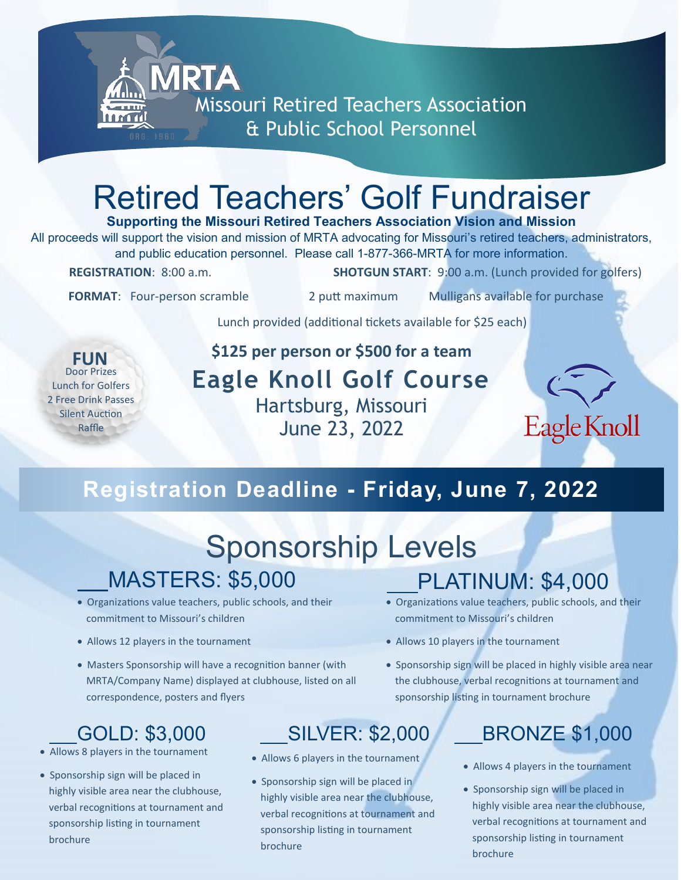

## Retired Teachers' Golf Fundraiser

### **Supporting the Missouri Retired Teachers Association Vision and Mission**

All proceeds will support the vision and mission of MRTA advocating for Missouri's retired teachers, administrators, and public education personnel. Please call 1-877-366-MRTA for more information. **REGISTRATION**: 8:00 a.m. **SHOTGUN START**: 9:00 a.m. (Lunch provided for golfers)

**FORMAT:** Four-person scramble 2 putt maximum Mulligans available for purchase

Lunch provided (additional tickets available for \$25 each)

Door Prizes Lunch for Golfers 2 Free Drink Passes Silent Auction Raffle **FUN**

### **\$125 per person or \$500 for a team Eagle Knoll Golf Course** Hartsburg, Missouri June 23, 2022



### **Registration Deadline - Friday, June 7, 2022**

## Sponsorship Levels MASTERS: \$5,000

- Organizations value teachers, public schools, and their commitment to Missouri's children
- Allows 12 players in the tournament
- Masters Sponsorship will have a recognition banner (with MRTA/Company Name) displayed at clubhouse, listed on all correspondence, posters and flyers

- Allows 8 players in the tournament
- Sponsorship sign will be placed in highly visible area near the clubhouse, verbal recognitions at tournament and sponsorship listing in tournament brochure

- Allows 6 players in the tournament
- Sponsorship sign will be placed in highly visible area near the clubhouse, verbal recognitions at tournament and sponsorship listing in tournament brochure

### PLATINUM: \$4,000

- Organizations value teachers, public schools, and their commitment to Missouri's children
- Allows 10 players in the tournament
- Sponsorship sign will be placed in highly visible area near the clubhouse, verbal recognitions at tournament and sponsorship listing in tournament brochure

### GOLD: \$3,000 SILVER: \$2,000 BRONZE \$1,000

- Allows 4 players in the tournament
- Sponsorship sign will be placed in highly visible area near the clubhouse, verbal recognitions at tournament and sponsorship listing in tournament brochure